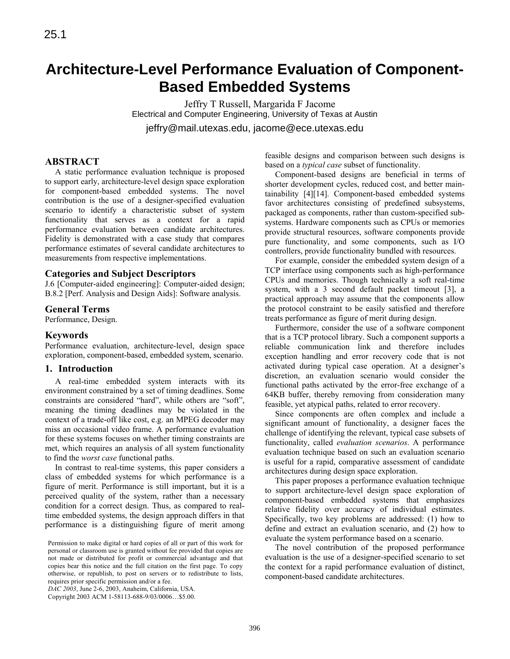# **Architecture-Level Performance Evaluation of Component-Based Embedded Systems**

Jeffry T Russell, Margarida F Jacome Electrical and Computer Engineering, University of Texas at Austin jeffry@mail.utexas.edu, jacome@ece.utexas.edu

# **ABSTRACT**

A static performance evaluation technique is proposed to support early, architecture-level design space exploration for component-based embedded systems. The novel contribution is the use of a designer-specified evaluation scenario to identify a characteristic subset of system functionality that serves as a context for a rapid performance evaluation between candidate architectures. Fidelity is demonstrated with a case study that compares performance estimates of several candidate architectures to measurements from respective implementations.

# **Categories and Subject Descriptors**

J.6 [Computer-aided engineering]: Computer-aided design; B.8.2 [Perf. Analysis and Design Aids]: Software analysis.

# **General Terms**

Performance, Design.

# **Keywords**

Performance evaluation, architecture-level, design space exploration, component-based, embedded system, scenario.

## **1. Introduction**

A real-time embedded system interacts with its environment constrained by a set of timing deadlines. Some constraints are considered "hard", while others are "soft", meaning the timing deadlines may be violated in the context of a trade-off like cost, e.g. an MPEG decoder may miss an occasional video frame. A performance evaluation for these systems focuses on whether timing constraints are met, which requires an analysis of all system functionality to find the *worst case* functional paths.

In contrast to real-time systems, this paper considers a class of embedded systems for which performance is a figure of merit. Performance is still important, but it is a perceived quality of the system, rather than a necessary condition for a correct design. Thus, as compared to realtime embedded systems, the design approach differs in that performance is a distinguishing figure of merit among

*DAC 2003*, June 2-6, 2003, Anaheim, California, USA.

Copyright 2003 ACM 1-58113-688-9/03/0006…\$5.00.

feasible designs and comparison between such designs is based on a *typical case* subset of functionality.

Component-based designs are beneficial in terms of shorter development cycles, reduced cost, and better maintainability [4][14]. Component-based embedded systems favor architectures consisting of predefined subsystems, packaged as components, rather than custom-specified subsystems. Hardware components such as CPUs or memories provide structural resources, software components provide pure functionality, and some components, such as I/O controllers, provide functionality bundled with resources.

For example, consider the embedded system design of a TCP interface using components such as high-performance CPUs and memories. Though technically a soft real-time system, with a 3 second default packet timeout [3], a practical approach may assume that the components allow the protocol constraint to be easily satisfied and therefore treats performance as figure of merit during design.

Furthermore, consider the use of a software component that is a TCP protocol library. Such a component supports a reliable communication link and therefore includes exception handling and error recovery code that is not activated during typical case operation. At a designer's discretion, an evaluation scenario would consider the functional paths activated by the error-free exchange of a 64KB buffer, thereby removing from consideration many feasible, yet atypical paths, related to error recovery.

Since components are often complex and include a significant amount of functionality, a designer faces the challenge of identifying the relevant, typical case subsets of functionality, called *evaluation scenarios*. A performance evaluation technique based on such an evaluation scenario is useful for a rapid, comparative assessment of candidate architectures during design space exploration.

This paper proposes a performance evaluation technique to support architecture-level design space exploration of component-based embedded systems that emphasizes relative fidelity over accuracy of individual estimates. Specifically, two key problems are addressed: (1) how to define and extract an evaluation scenario, and (2) how to evaluate the system performance based on a scenario.

The novel contribution of the proposed performance evaluation is the use of a designer-specified scenario to set the context for a rapid performance evaluation of distinct, component-based candidate architectures.

Permission to make digital or hard copies of all or part of this work for personal or classroom use is granted without fee provided that copies are not made or distributed for profit or commercial advantage and that copies bear this notice and the full citation on the first page. To copy otherwise, or republish, to post on servers or to redistribute to lists, requires prior specific permission and/or a fee.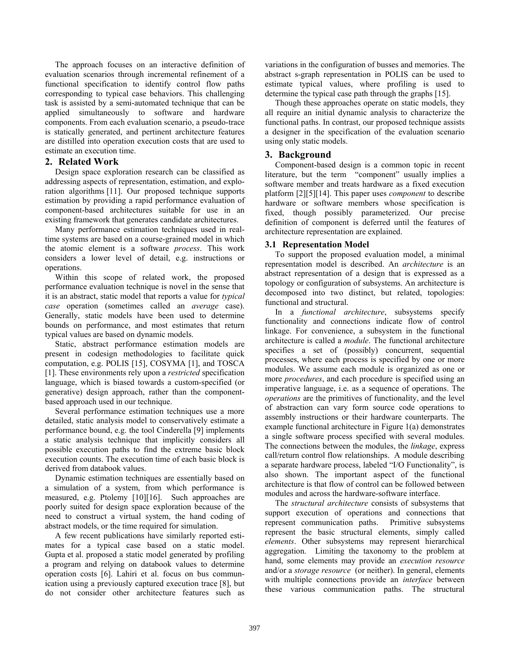The approach focuses on an interactive definition of evaluation scenarios through incremental refinement of a functional specification to identify control flow paths corresponding to typical case behaviors. This challenging task is assisted by a semi-automated technique that can be applied simultaneously to software and hardware components. From each evaluation scenario, a pseudo-trace is statically generated, and pertinent architecture features are distilled into operation execution costs that are used to estimate an execution time.

## **2. Related Work**

Design space exploration research can be classified as addressing aspects of representation, estimation, and exploration algorithms [11]. Our proposed technique supports estimation by providing a rapid performance evaluation of component-based architectures suitable for use in an existing framework that generates candidate architectures.

Many performance estimation techniques used in realtime systems are based on a course-grained model in which the atomic element is a software *process*. This work considers a lower level of detail, e.g. instructions or operations.

Within this scope of related work, the proposed performance evaluation technique is novel in the sense that it is an abstract, static model that reports a value for *typical case* operation (sometimes called an *average* case). Generally, static models have been used to determine bounds on performance, and most estimates that return typical values are based on dynamic models.

Static, abstract performance estimation models are present in codesign methodologies to facilitate quick computation, e.g. POLIS [15], COSYMA [1], and TOSCA [1]. These environments rely upon a *restricted* specification language, which is biased towards a custom-specified (or generative) design approach, rather than the componentbased approach used in our technique.

Several performance estimation techniques use a more detailed, static analysis model to conservatively estimate a performance bound, e.g. the tool Cinderella [9] implements a static analysis technique that implicitly considers all possible execution paths to find the extreme basic block execution counts. The execution time of each basic block is derived from databook values.

Dynamic estimation techniques are essentially based on a simulation of a system, from which performance is measured, e.g. Ptolemy [10][16]. Such approaches are poorly suited for design space exploration because of the need to construct a virtual system, the hand coding of abstract models, or the time required for simulation.

A few recent publications have similarly reported estimates for a typical case based on a static model. Gupta et al. proposed a static model generated by profiling a program and relying on databook values to determine operation costs [6]. Lahiri et al. focus on bus communication using a previously captured execution trace [8], but do not consider other architecture features such as variations in the configuration of busses and memories. The abstract s-graph representation in POLIS can be used to estimate typical values, where profiling is used to determine the typical case path through the graphs [15].

Though these approaches operate on static models, they all require an initial dynamic analysis to characterize the functional paths. In contrast, our proposed technique assists a designer in the specification of the evaluation scenario using only static models.

# **3. Background**

Component-based design is a common topic in recent literature, but the term "component" usually implies a software member and treats hardware as a fixed execution platform [2][5][14]. This paper uses *component* to describe hardware or software members whose specification is fixed, though possibly parameterized. Our precise definition of component is deferred until the features of architecture representation are explained.

## **3.1 Representation Model**

To support the proposed evaluation model, a minimal representation model is described. An *architecture* is an abstract representation of a design that is expressed as a topology or configuration of subsystems. An architecture is decomposed into two distinct, but related, topologies: functional and structural.

In a *functional architecture*, subsystems specify functionality and connections indicate flow of control linkage. For convenience, a subsystem in the functional architecture is called a *module*. The functional architecture specifies a set of (possibly) concurrent, sequential processes, where each process is specified by one or more modules. We assume each module is organized as one or more *procedures*, and each procedure is specified using an imperative language, i.e. as a sequence of operations. The *operations* are the primitives of functionality, and the level of abstraction can vary form source code operations to assembly instructions or their hardware counterparts. The example functional architecture in Figure 1(a) demonstrates a single software process specified with several modules. The connections between the modules, the *linkage*, express call/return control flow relationships. A module describing a separate hardware process, labeled "I/O Functionality", is also shown. The important aspect of the functional architecture is that flow of control can be followed between modules and across the hardware-software interface.

The *structural architecture* consists of subsystems that support execution of operations and connections that represent communication paths. Primitive subsystems represent the basic structural elements, simply called *elements*. Other subsystems may represent hierarchical aggregation. Limiting the taxonomy to the problem at hand, some elements may provide an *execution resource* and/or a *storage resource* (or neither). In general, elements with multiple connections provide an *interface* between these various communication paths. The structural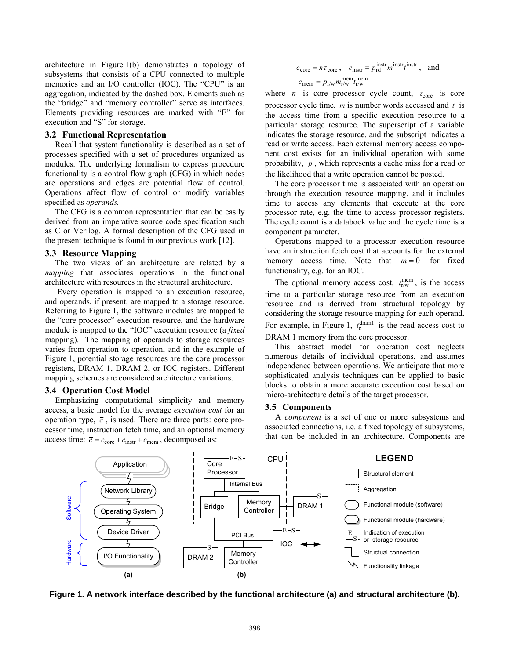architecture in Figure 1(b) demonstrates a topology of subsystems that consists of a CPU connected to multiple memories and an I/O controller (IOC). The "CPU" is an aggregation, indicated by the dashed box. Elements such as the "bridge" and "memory controller" serve as interfaces. Elements providing resources are marked with "E" for execution and "S" for storage.

#### **3.2 Functional Representation**

Recall that system functionality is described as a set of processes specified with a set of procedures organized as modules. The underlying formalism to express procedure functionality is a control flow graph (CFG) in which nodes are operations and edges are potential flow of control. Operations affect flow of control or modify variables specified as *operands.*

The CFG is a common representation that can be easily derived from an imperative source code specification such as C or Verilog. A formal description of the CFG used in the present technique is found in our previous work [12].

#### **3.3 Resource Mapping**

The two views of an architecture are related by a *mapping* that associates operations in the functional architecture with resources in the structural architecture.

 Every operation is mapped to an execution resource, and operands, if present, are mapped to a storage resource. Referring to Figure 1, the software modules are mapped to the "core processor" execution resource, and the hardware module is mapped to the "IOC" execution resource (a *fixed* mapping). The mapping of operands to storage resources varies from operation to operation, and in the example of Figure 1, potential storage resources are the core processor registers, DRAM 1, DRAM 2, or IOC registers. Different mapping schemes are considered architecture variations.

#### **3.4 Operation Cost Model**

Emphasizing computational simplicity and memory access, a basic model for the average *execution cost* for an operation type,  $\bar{c}$ , is used. There are three parts: core processor time, instruction fetch time, and an optional memory access time:  $\bar{c} = c_{\text{core}} + c_{\text{instr}} + c_{\text{mem}}$ , decomposed as:

$$
c_{\text{core}} = n \tau_{\text{core}}
$$
,  $c_{\text{instr}} = p_{\text{rd}}^{\text{instr}} m^{\text{instr}} t^{\text{instr}}$ , and  
 $c_{\text{mem}} = p_{\text{r/w}} m_{\text{r/w}}^{\text{mem}} t_{\text{r/w}}^{\text{mem}}$ 

where *n* is core processor cycle count,  $\tau_{\text{core}}$  is core processor cycle time, *m* is number words accessed and *t* is the access time from a specific execution resource to a particular storage resource. The superscript of a variable indicates the storage resource, and the subscript indicates a read or write access. Each external memory access component cost exists for an individual operation with some probability, *p* , which represents a cache miss for a read or the likelihood that a write operation cannot be posted.

The core processor time is associated with an operation through the execution resource mapping, and it includes time to access any elements that execute at the core processor rate, e.g. the time to access processor registers. The cycle count is a databook value and the cycle time is a component parameter.

Operations mapped to a processor execution resource have an instruction fetch cost that accounts for the external memory access time. Note that  $m = 0$  for fixed functionality, e.g. for an IOC.

The optional memory access cost,  $t_{r/w}^{\text{mem}}$ , is the access time to a particular storage resource from an execution resource and is derived from structural topology by considering the storage resource mapping for each operand. For example, in Figure 1,  $t_r^{\text{dram1}}$  is the read access cost to DRAM 1 memory from the core processor.

This abstract model for operation cost neglects numerous details of individual operations, and assumes independence between operations. We anticipate that more sophisticated analysis techniques can be applied to basic blocks to obtain a more accurate execution cost based on micro-architecture details of the target processor.

#### **3.5 Components**

A *component* is a set of one or more subsystems and associated connections, i.e. a fixed topology of subsystems, that can be included in an architecture. Components are



**Figure 1. A network interface described by the functional architecture (a) and structural architecture (b).**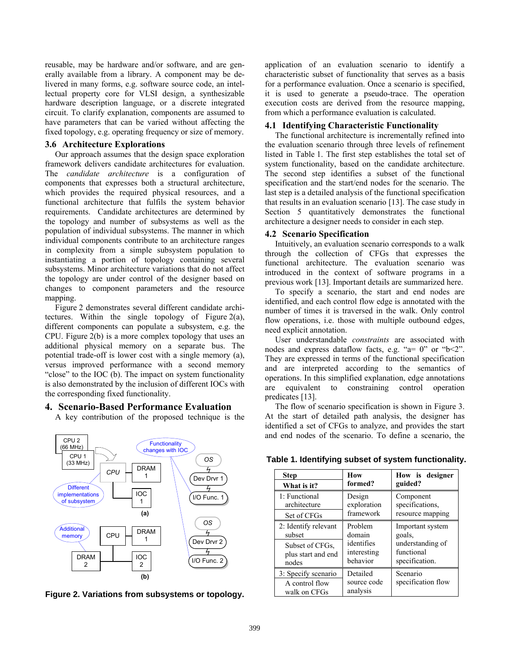reusable, may be hardware and/or software, and are generally available from a library. A component may be delivered in many forms, e.g. software source code, an intellectual property core for VLSI design, a synthesizable hardware description language, or a discrete integrated circuit. To clarify explanation, components are assumed to have parameters that can be varied without affecting the fixed topology, e.g. operating frequency or size of memory.

## **3.6 Architecture Explorations**

Our approach assumes that the design space exploration framework delivers candidate architectures for evaluation. The *candidate architecture* is a configuration of components that expresses both a structural architecture, which provides the required physical resources, and a functional architecture that fulfils the system behavior requirements. Candidate architectures are determined by the topology and number of subsystems as well as the population of individual subsystems. The manner in which individual components contribute to an architecture ranges in complexity from a simple subsystem population to instantiating a portion of topology containing several subsystems. Minor architecture variations that do not affect the topology are under control of the designer based on changes to component parameters and the resource mapping.

Figure 2 demonstrates several different candidate architectures. Within the single topology of Figure 2(a), different components can populate a subsystem, e.g. the CPU. Figure 2(b) is a more complex topology that uses an additional physical memory on a separate bus. The potential trade-off is lower cost with a single memory (a), versus improved performance with a second memory "close" to the IOC (b). The impact on system functionality is also demonstrated by the inclusion of different IOCs with the corresponding fixed functionality.

# **4. Scenario-Based Performance Evaluation**

A key contribution of the proposed technique is the



**Figure 2. Variations from subsystems or topology.** 

application of an evaluation scenario to identify a characteristic subset of functionality that serves as a basis for a performance evaluation. Once a scenario is specified, it is used to generate a pseudo-trace. The operation execution costs are derived from the resource mapping, from which a performance evaluation is calculated.

## **4.1 Identifying Characteristic Functionality**

The functional architecture is incrementally refined into the evaluation scenario through three levels of refinement listed in Table 1. The first step establishes the total set of system functionality, based on the candidate architecture. The second step identifies a subset of the functional specification and the start/end nodes for the scenario. The last step is a detailed analysis of the functional specification that results in an evaluation scenario [13]. The case study in Section 5 quantitatively demonstrates the functional architecture a designer needs to consider in each step.

## **4.2 Scenario Specification**

Intuitively, an evaluation scenario corresponds to a walk through the collection of CFGs that expresses the functional architecture. The evaluation scenario was introduced in the context of software programs in a previous work [13]. Important details are summarized here.

To specify a scenario, the start and end nodes are identified, and each control flow edge is annotated with the number of times it is traversed in the walk. Only control flow operations, i.e. those with multiple outbound edges, need explicit annotation.

User understandable *constraints* are associated with nodes and express dataflow facts, e.g. " $a = 0$ " or " $b < 2$ ". They are expressed in terms of the functional specification and are interpreted according to the semantics of operations. In this simplified explanation, edge annotations are equivalent to constraining control operation predicates [13].

The flow of scenario specification is shown in Figure 3. At the start of detailed path analysis, the designer has identified a set of CFGs to analyze, and provides the start and end nodes of the scenario. To define a scenario, the

| <b>Step</b>                                           | How                                 | How is designer                |  |  |
|-------------------------------------------------------|-------------------------------------|--------------------------------|--|--|
| What is it?                                           | formed?                             | guided?                        |  |  |
| 1: Functional                                         | Design                              | Component                      |  |  |
| architecture                                          | exploration                         | specifications,                |  |  |
| Set of CFGs                                           | framework                           | resource mapping               |  |  |
| 2: Identify relevant                                  | Problem                             | Important system               |  |  |
| subset                                                | domain                              | goals.                         |  |  |
| Subset of CFGs,                                       | identifies                          | understanding of               |  |  |
| plus start and end                                    | interesting                         | functional                     |  |  |
| nodes                                                 | behavior                            | specification.                 |  |  |
| 3: Specify scenario<br>A control flow<br>walk on CFGs | Detailed<br>source code<br>analysis | Scenario<br>specification flow |  |  |

**Table 1. Identifying subset of system functionality.**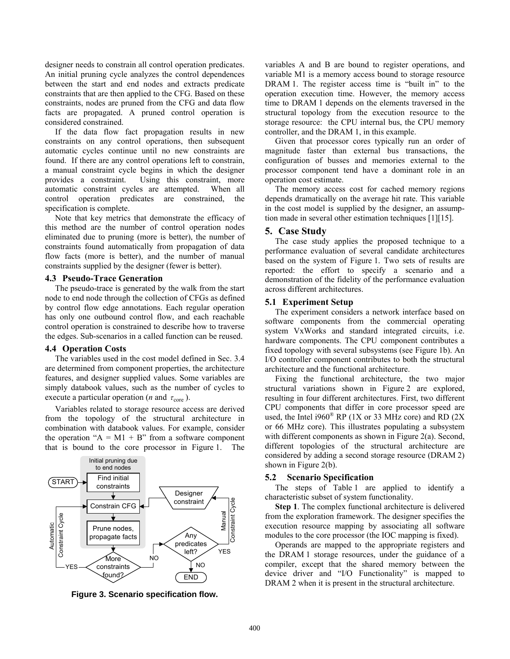designer needs to constrain all control operation predicates. An initial pruning cycle analyzes the control dependences between the start and end nodes and extracts predicate constraints that are then applied to the CFG. Based on these constraints, nodes are pruned from the CFG and data flow facts are propagated. A pruned control operation is considered constrained.

If the data flow fact propagation results in new constraints on any control operations, then subsequent automatic cycles continue until no new constraints are found. If there are any control operations left to constrain, a manual constraint cycle begins in which the designer provides a constraint. Using this constraint, more automatic constraint cycles are attempted. When all control operation predicates are constrained, the specification is complete.

Note that key metrics that demonstrate the efficacy of this method are the number of control operation nodes eliminated due to pruning (more is better), the number of constraints found automatically from propagation of data flow facts (more is better), and the number of manual constraints supplied by the designer (fewer is better).

#### **4.3 Pseudo-Trace Generation**

The pseudo-trace is generated by the walk from the start node to end node through the collection of CFGs as defined by control flow edge annotations. Each regular operation has only one outbound control flow, and each reachable control operation is constrained to describe how to traverse the edges. Sub-scenarios in a called function can be reused.

#### **4.4 Operation Costs**

The variables used in the cost model defined in Sec. 3.4 are determined from component properties, the architecture features, and designer supplied values. Some variables are simply databook values, such as the number of cycles to execute a particular operation (*n* and  $\tau_{\text{core}}$ ).

Variables related to storage resource access are derived from the topology of the structural architecture in combination with databook values. For example, consider the operation " $A = M1 + B$ " from a software component that is bound to the core processor in Figure 1. The



**Figure 3. Scenario specification flow.** 

variables A and B are bound to register operations, and variable M1 is a memory access bound to storage resource DRAM 1. The register access time is "built in" to the operation execution time. However, the memory access time to DRAM 1 depends on the elements traversed in the structural topology from the execution resource to the storage resource: the CPU internal bus, the CPU memory controller, and the DRAM 1, in this example.

Given that processor cores typically run an order of magnitude faster than external bus transactions, the configuration of busses and memories external to the processor component tend have a dominant role in an operation cost estimate.

The memory access cost for cached memory regions depends dramatically on the average hit rate. This variable in the cost model is supplied by the designer, an assumption made in several other estimation techniques [1][15].

#### **5. Case Study**

The case study applies the proposed technique to a performance evaluation of several candidate architectures based on the system of Figure 1. Two sets of results are reported: the effort to specify a scenario and a demonstration of the fidelity of the performance evaluation across different architectures.

#### **5.1 Experiment Setup**

The experiment considers a network interface based on software components from the commercial operating system VxWorks and standard integrated circuits, i.e. hardware components. The CPU component contributes a fixed topology with several subsystems (see Figure 1b). An I/O controller component contributes to both the structural architecture and the functional architecture.

Fixing the functional architecture, the two major structural variations shown in Figure 2 are explored, resulting in four different architectures. First, two different CPU components that differ in core processor speed are used, the Intel i960 $^{\circ}$  RP (1X or 33 MHz core) and RD (2X) or 66 MHz core). This illustrates populating a subsystem with different components as shown in Figure 2(a). Second, different topologies of the structural architecture are considered by adding a second storage resource (DRAM 2) shown in Figure 2(b).

#### **5.2 Scenario Specification**

The steps of Table 1 are applied to identify a characteristic subset of system functionality.

**Step 1**. The complex functional architecture is delivered from the exploration framework. The designer specifies the execution resource mapping by associating all software modules to the core processor (the IOC mapping is fixed).

Operands are mapped to the appropriate registers and the DRAM 1 storage resources, under the guidance of a compiler, except that the shared memory between the device driver and "I/O Functionality" is mapped to DRAM 2 when it is present in the structural architecture.